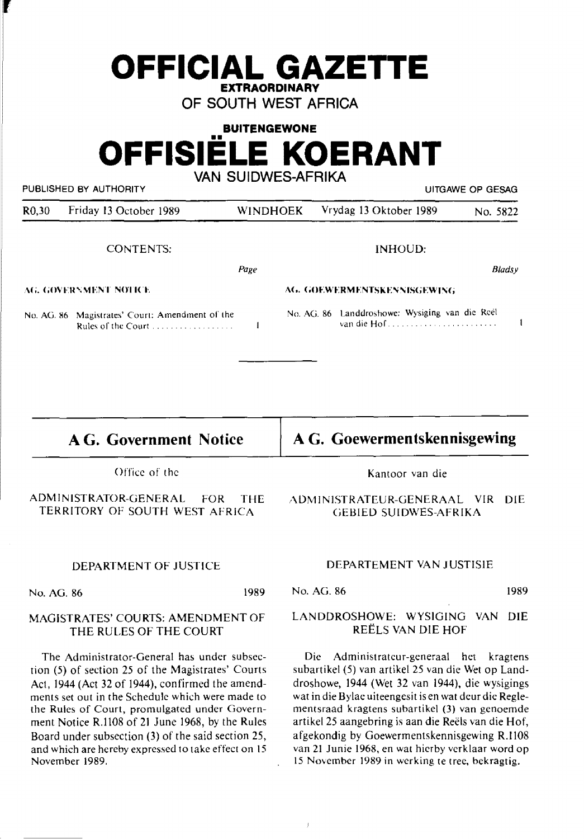| <b>BUITENGEWONE</b>      |  |  |  |  |
|--------------------------|--|--|--|--|
| <b>OFFISIELE KOERANT</b> |  |  |  |  |

**OFFICIAL GAZETTE EXTRAORDINARY OF SOUTH WEST AFRICA** 

**VAN SUIDWES-AFRIKA** 

PUBLISHED BY AUTHORITY **EXAGE AUTHORITY** AND RESAGE OF GESAGE AT A RESAGE OF GESAGE AND RESAGE AT A RESAGE OF GESAGE AND RESAGE AT A RESAGE OF GESAGE AND RESAGE AT A RESAGE OF GESAGE AND RESAGE AT A RESAGE OF GESAGE AND RE

'

| R <sub>0,30</sub>     | Friday 13 October 1989                                                                          | <b>WINDHOEK</b> | Vrydag 13 Oktober 1989                                        | No. 5822      |
|-----------------------|-------------------------------------------------------------------------------------------------|-----------------|---------------------------------------------------------------|---------------|
|                       | <b>CONTENTS:</b>                                                                                |                 | INHOUD:                                                       |               |
|                       |                                                                                                 | Page            |                                                               | <b>Bladsy</b> |
| AG. GOVERNMENT NOTICE |                                                                                                 |                 | AG. GOEWERMENTSKENNISGEWING                                   |               |
|                       | No. AG. 86 Magistrates' Court: Amendment of the<br>Rules of the Court $\dots \dots \dots \dots$ |                 | No. AG. 86 Landdroshowe: Wysiging van die Reel<br>van die Hof |               |

**AG. Government Notice** 

Office of the

ADMINISTRATOR-GENERAL FOR THE TERRITORY OF SOUTH WEST AFRICA

#### DEPARTMENT OF JUSTICE

No. AG. 86 1989

#### MAGISTRATES' COURTS: AMENDMENT OF THE RULES OF THE COURT

The Administrator-General has under subsection (5) of section 25 of the Magistrates' Courts Act, 1944 (Act 32 of 1944), confirmed the amendments set out in the Schedule which were made to the Rules of Court, promulgated under Government Notice R.1108 of 21 June 1968, by the Rules Board under subsection (3) of the said section 25, and which are hereby expressed to take effect on 15 November 1989.

**AG. Goewermentskennisgewing** 

Kantoor van die

ADMINISTRATEUR-GENERAAL VIR DIE CiEBIED SUIDWES-AFRIKA

#### DEPARTEMENT VAN JUSTISIE

No. AG. 86 1989

## LANDDROSHOWE: WYSIGING VAN DIE REELS VAN DIE HOF

Die Administratcur-generaal bet kragtens subartikel (5) van artikel 25 van die Wet op Landdroshowe, 1944 (Wet 32 van 1944), die wysigings wat in die Bylae uiteengesit is en wat deur die Reglementsraad kragtens subartike\ (3) van genoemde artikel 25 aangebring is aan die Reels van die Hof, afgekondig by Goewermentskennisgewing R.1108 van 21 Junie 1968, en wat hicrby vcrklaar word op 15 November 1989 in werking te tree, bekragtig.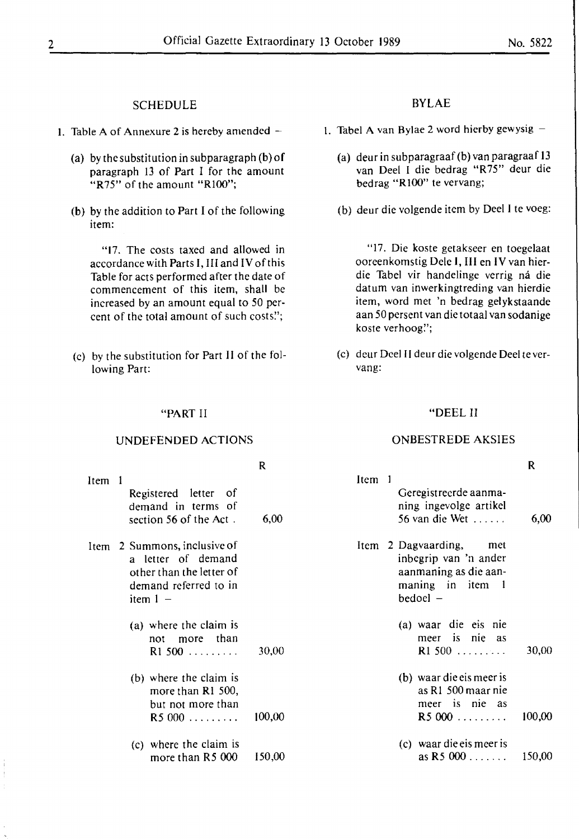# SCHEDULE

- 1. Table A of Annexure 2 is hereby amended  $-$ 
	- (a) by the substitution in subparagraph (b) of paragraph 13 of Part I for the amount "R75" of the amount "R100";
	- (b) by the addition to Part I of the following item:

"17. The costs taxed and allowed in accordance with Parts I, III and IV of this Table for acts performed after the date of commencement of this item, shall be increased by an amount equal to 50 percent of the total amount of such costs'.';

(c) by the substitution for Part II of the following Part:

**"PART** II

**UNDEFENDED ACTIONS** 

# BYLAE

- 1. Tabel A van Bylae 2 word hierby gewysig  $-$ 
	- (a) deur in subparagraaf (b) van paragraaf 13 van Deel I die bedrag "R75" deur die bedrag "RIOO" te vervang;
	- (b) deur die volgende item by Deel I te voeg:

"17. Die koste getakseer en toegelaat ooreenkomstig Dele I, III en IV van hierdie Tabel vir handelinge verrig ná die datum van inwerkingtreding van hierdie item, word met 'n bedrag gelykstaande aan 50 persent van die totaal van sodanige koste verhoog'.';

(c) dcur Deel II deur die volgende Deel te vervang:

## "DEEL II

### ONBESTREDE AKSIES

|        |                                                                                                                       | $\mathsf{R}$ |                                                                                                              | $\mathbf R$ |
|--------|-----------------------------------------------------------------------------------------------------------------------|--------------|--------------------------------------------------------------------------------------------------------------|-------------|
| Item 1 | Registered letter of<br>demand in terms of<br>section 56 of the Act.                                                  | 6,00         | Item 1<br>Geregistreerde aanma-<br>ning ingevolge artikel<br>56 van die Wet $\dots$ .                        | 6,00        |
|        | Item 2 Summons, inclusive of<br>a letter of demand<br>other than the letter of<br>demand referred to in<br>item $1 -$ |              | Item 2 Dagvaarding,<br>met<br>inbegrip van 'n ander<br>aanmaning as die aan-<br>maning in item 1<br>bedoel - |             |
|        | (a) where the claim is<br>than t<br>more<br>not<br>$R1$ 500                                                           | 30,00        | (a) waar die eis nie<br>meer is nie as<br>R1500                                                              | 30,00       |
|        | (b) where the claim is<br>more than R1 500,<br>but not more than<br>R5000                                             | 100,00       | (b) waar die eis meer is<br>as R1 500 maar nie<br>meer is nie as<br>R5000                                    | 100,00      |
|        | (c) where the claim is<br>more than R5 000                                                                            | 150,00       | (c) waar die eis meer is<br>as $R5000$                                                                       | 150,00      |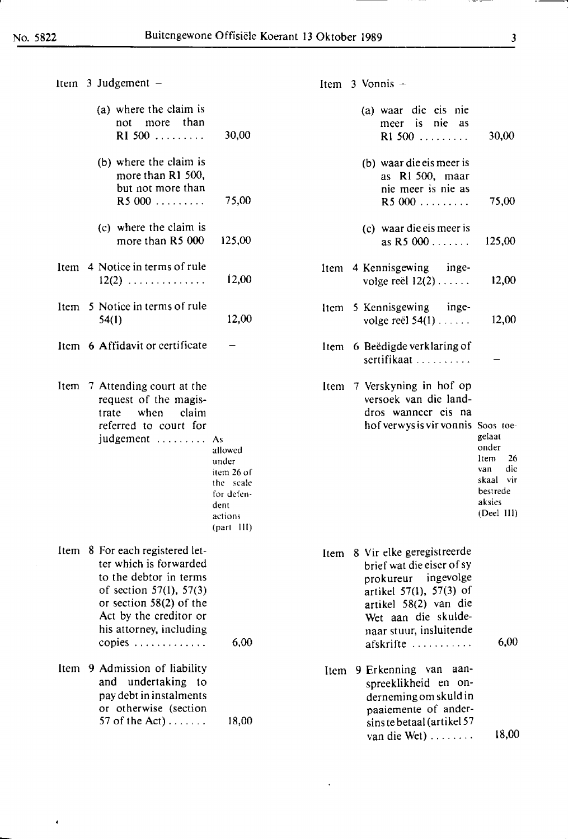$\tilde{\mathbf{z}}$ 

| I  |
|----|
|    |
| ×  |
| ۰, |
| ۰, |

--

| Item $3$ Judgement $-$                                                                                                                                                                                          |                                                                                              |  | Item $3$ Vonnis $-$                                                                                                                                                                                      |                                                                                               |
|-----------------------------------------------------------------------------------------------------------------------------------------------------------------------------------------------------------------|----------------------------------------------------------------------------------------------|--|----------------------------------------------------------------------------------------------------------------------------------------------------------------------------------------------------------|-----------------------------------------------------------------------------------------------|
| (a) where the claim is<br>than<br>more<br>not<br>RI 500                                                                                                                                                         | 30,00                                                                                        |  | (a) waar die eis nie<br>meer is nie as<br>R1 500                                                                                                                                                         | 30,00                                                                                         |
| (b) where the claim is<br>more than R1 500,<br>but not more than<br>R5000                                                                                                                                       | 75,00                                                                                        |  | (b) waar die eis meer is<br>as R1 500, maar<br>nie meer is nie as<br>R5000                                                                                                                               | 75,00                                                                                         |
| (c) where the claim is<br>more than R5 000                                                                                                                                                                      | 125,00                                                                                       |  | (c) waar die eis meer is<br>as R5 000                                                                                                                                                                    | 125,00                                                                                        |
| Item 4 Notice in terms of rule<br>$12(2)$                                                                                                                                                                       | 12,00                                                                                        |  | Item 4 Kennisgewing inge-<br>volge reël $12(2) \ldots$ .                                                                                                                                                 | 12,00                                                                                         |
| Item 5 Notice in terms of rule<br>54(1)                                                                                                                                                                         | 12,00                                                                                        |  | Item 5 Kennisgewing<br>inge-<br>volge reël $54(1)$                                                                                                                                                       | 12,00                                                                                         |
| Item 6 Affidavit or certificate                                                                                                                                                                                 |                                                                                              |  | Item 6 Beëdigde verklaring of<br>sertifikaat                                                                                                                                                             |                                                                                               |
| Item 7 Attending court at the<br>request of the magis-<br>when<br>claim<br>trate<br>referred to court for<br>judgement  As                                                                                      | allowed<br>under<br>item 26 of<br>the scale<br>for defen-<br>dent<br>actions<br>$(part$ III) |  | Item 7 Verskyning in hof op<br>versoek van die land-<br>dros wanneer eis na<br>hof verwys is vir vonnis Soos toe-                                                                                        | gelaat<br>onder<br>26<br>ltem.<br>die<br>van<br>skaal vir<br>bestrede<br>aksies<br>(Deel III) |
| Item 8 For each registered let-<br>ter which is forwarded<br>to the debtor in terms<br>of section $57(1)$ , $57(3)$<br>or section $58(2)$ of the<br>Act by the creditor or<br>his attorney, including<br>copies | 6,00                                                                                         |  | Item 8 Vir elke geregistreerde<br>brief wat die eiser of sy<br>ingevolge<br>prokureur<br>artikel 57(1), 57(3) of<br>artikel 58(2) van die<br>Wet aan die skulde-<br>naar stuur, insluitende<br>afskrifte | 6,00                                                                                          |
| Item 9 Admission of liability<br>undertaking to<br>and<br>pay debt in instalments<br>or otherwise (section<br>57 of the Act) $\dots$ .                                                                          | 18,00                                                                                        |  | Item 9 Erkenning van aan-<br>spreeklikheid en on-<br>derneming om skuld in<br>paaiemente of ander-<br>sins te betaal (artikel 57<br>van die Wet)                                                         | 18,00                                                                                         |

 $\ddot{\phantom{a}}$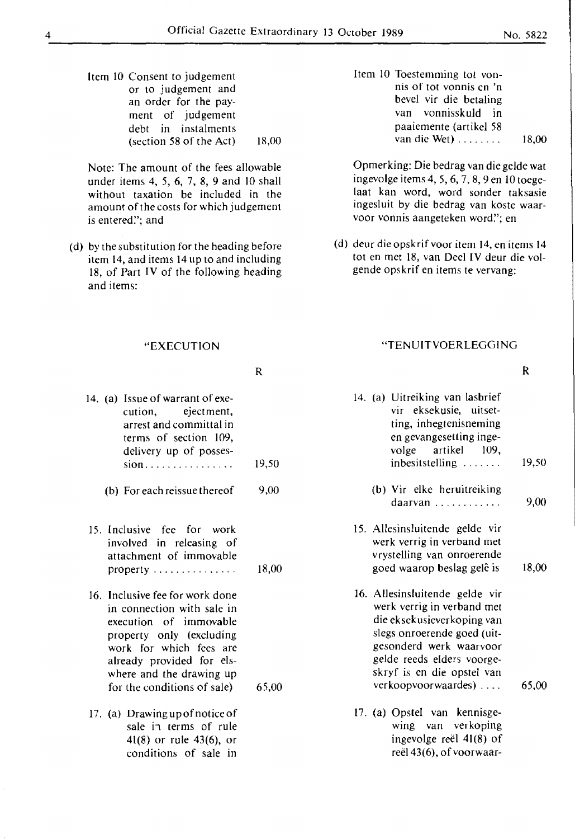Item 10 Consent to judgement or to judgement and an order for the payment of judgement debt in instalments (section 58 of the Act)  $18,00$ 

Note: The amount of the fees allowable under items 4, *5,* 6, 7, 8, 9 and IO shall without taxation be included in the amount of the costs for which judgement is entered": and

- (d) by the substitution for the heading before item 14, and items 14 up to and including 18, of Part IV of the following heading and items:
	- "EXECUTION
- R

|  | 14. (a) Issue of warrant of exe-                                                                                  |       |
|--|-------------------------------------------------------------------------------------------------------------------|-------|
|  | cution, ejectment,                                                                                                |       |
|  | arrest and committal in                                                                                           |       |
|  | terms of section 109,                                                                                             |       |
|  | delivery up of posses-                                                                                            |       |
|  | $sion$                                                                                                            | 19,50 |
|  | (b) For each reissue there of                                                                                     | 9,00  |
|  | 15. Inclusive fee for work<br>involved in releasing of<br>attachment of immovable<br>property                     | 18,00 |
|  |                                                                                                                   |       |
|  | 16. Inclusive fee for work done<br>in connection with sale in<br>execution of immovable                           |       |
|  | property only (excluding                                                                                          |       |
|  | work for which fees are                                                                                           |       |
|  | already provided for els-                                                                                         |       |
|  | where and the drawing up                                                                                          |       |
|  | for the conditions of sale)                                                                                       | 65,00 |
|  | 17. (a) Drawing up of notice of<br>sale in terms of rule<br>$41(8)$ or rule $43(6)$ , or<br>conditions of sale in |       |

Item 10 Toestemming tot vonnis of tot vonnis en 'n bevel vir die betaling van vonnisskuld in paaiemente (artikel 58 van die Wet) ....... . 18,00

Opmerking: Die bedrag van die gelde wat ingevolge items 4, 5, 6, 7, 8, 9 en 10 toegelaat kan word, word sonder taksasie ingesluit by die bedrag van koste waarvoor vonnis aangeteken word!'; en

(d) deur dieopskrif voor item 14, en items 14 tot en met 18, van Deel IV deur die volgende opskrif en items te vervang:

#### "TENU IT VOER LEGG ING

- 14. (a) Uitreiking van lasbrief vir eksekusie, uitsetting, inhegtenisneming en gevangesetting ingevolge artikel 109, inbesitstelling ...... . 19,50
	- (b) Vir elke heruitreiking daarvan . . . . . . . . . . . . 9,00
- 15. Allesinsluitende gelde vir werk verrig in verband met vrystelling van onroerende goed waarop beslag gele is 18,00
- 16. Allesinsluitende gelde vir werk verrig in verband met die eksekusieverkoping van slegs onroerende goed (uitgesonderd werk waarvoor gelde reeds elders voorgeskryf is en die opstel van verkoopvoorwaardes) .... 65,00
- 17. (a) Opstel van kennisgewing van verkoping ingevolge reel 41(8) of reël 43(6), of voorwaar-

R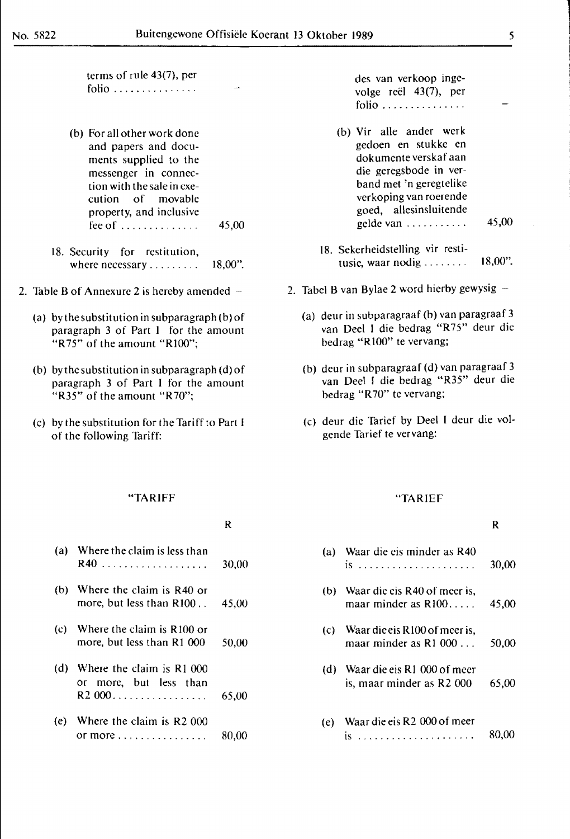|<br>|-<br>|<br>|

I

terms of rule 43(7), per folio .............. .

- (b) For all other work done and papers and documents supplied to the messenger in connection with the sale in execution of movable property, and inclusive fee of . . . . . . . . . . . . . . 45,00
- 18. Security for restitution, where necessary.......... 18,00".
- 2. Table B of Annexure 2 is hereby amended  $-$ 
	- (a) by the substitution in subparagraph (b) of paragraph 3 of Part I for the amount "R75" of the amount "RIOO";
	- (b) by the substitution in subparagraph (d) of paragraph 3 of Part I for the amount "R35" of the amount "R70";
	- (c) by the substitution for the Tariff to Part I of the following Tariff:

des van verkoop ingevolge reel 43(7), per folio . . . . . . . . . . . . . . .

- (b) Vir alle ander werk gedoen en stukke en dokumente verskaf aan die geregsbode in verband met 'n geregtelike verkoping van roerende goed, allesinsluitende gelde van . . . . . . . . . . . 45,00
- 18. Sekerheidstelling vir restitusie, waar nodig . . . . . . . . 18,00".
- 2. Tabel B van Bylae 2 word hierby gewysig  $-$ 
	- (a) deur in subparagraaf (b) van paragraaf 3 van Deel 1 die bedrag "R75" deur die bedrag "RIO0" te vervang;
	- (b) deur in subparagraaf (d) van paragraaf 3 van Deel I die bedrag "R35" deur die bedrag "R70" te vervang;
	- (c) deur die Tarief by Deel I deur die volgende Tarief te vervang:

#### **"TARIFF**

## **R**

|     | (a) Where the claim is less than                                    | 30,00 |
|-----|---------------------------------------------------------------------|-------|
|     | (b) Where the claim is $R40$ or<br>more, but less than $R100$ 45,00 |       |
|     | (c) Where the claim is $R100$ or<br>more, but less than R1 000      | 50,00 |
| (d) | Where the claim is R1 000<br>or more, but less than                 | 65,00 |
|     | (e) Where the claim is R2 000                                       | 80.00 |

#### "TARIEF

### **R**

| (a) | Waar die eis minder as R40                                     | 30,00 |
|-----|----------------------------------------------------------------|-------|
|     | (b) Waar die eis R40 of meer is,<br>maar minder as $R100$      | 45,00 |
|     | (c) Waar die eis $R100$ of meer is,<br>maar minder as R1 000   | 50,00 |
|     | (d) Waar die eis $R1$ 000 of meer<br>is, maar minder as R2 000 | 65,00 |
|     | (e) Waar die eis R2 000 of meer                                | 80.00 |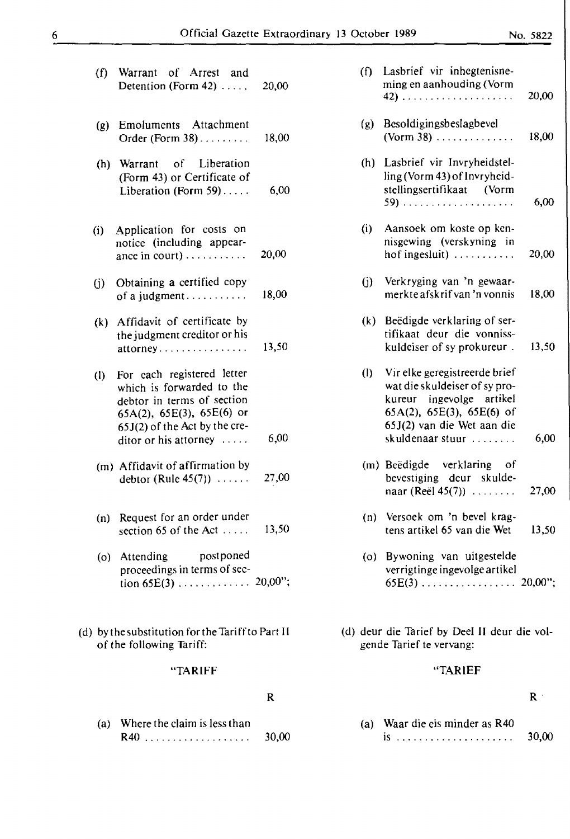| (f)                        | Warrant of Arrest and<br>Detention (Form $42$ )                                                                                                                                                | 20,00 |
|----------------------------|------------------------------------------------------------------------------------------------------------------------------------------------------------------------------------------------|-------|
| (g)                        | Emoluments Attachment<br>Order (Form $38$ )                                                                                                                                                    | 18,00 |
| (h)                        | Warrant of Liberation<br>(Form 43) or Certificate of<br>Liberation (Form $59$ )                                                                                                                | 6,00  |
|                            | (i) Application for costs on<br>notice (including appear-<br>ance in court) $\dots \dots$                                                                                                      | 20,00 |
| (i)                        | Obtaining a certified copy<br>of a judgment                                                                                                                                                    | 18,00 |
|                            | (k) Affidavit of certificate by<br>the judgment creditor or his<br>attorney                                                                                                                    | 13,50 |
| $\left( \mathbf{l}\right)$ | For each registered letter<br>which is forwarded to the<br>debtor in terms of section<br>$65A(2)$ , $65E(3)$ , $65E(6)$ or<br>$65J(2)$ of the Act by the cre-<br>ditor or his attorney $\dots$ | 6,00  |
|                            | (m) Affidavit of affirmation by<br>debtor (Rule $45(7)$ )                                                                                                                                      | 27,00 |
|                            | (n) Request for an order under<br>section 65 of the Act $\dots$                                                                                                                                | 13,50 |
|                            | postponed<br>(o) Attending<br>proceedings in terms of sec-<br>tion 65E(3) 20,00";                                                                                                              |       |
|                            | (d) by the substitution for the Tariff to Part II<br>of the following Tariff:                                                                                                                  |       |
|                            | "TARIFF                                                                                                                                                                                        |       |
|                            |                                                                                                                                                                                                | R     |

| (a) Where the claim is less than |       |
|----------------------------------|-------|
| $R40$                            | 30,00 |

| (f) | Lasbrief vir inhegtenisne-<br>ming en aanhouding (Vorm                                                                                                | 20,00 |
|-----|-------------------------------------------------------------------------------------------------------------------------------------------------------|-------|
| (g) | Besoldigingsbeslagbevel<br>$(Vorm 38)$                                                                                                                | 18,00 |
| (h) | Lasbrief vir Invryheidstel-<br>ling (Vorm 43) of Invryheid-<br>stellingsertifikaat (Vorm                                                              | 6,00  |
| (i) | Aansoek om koste op ken-<br>nisgewing (verskyning in<br>hof ingesluit) $\ldots \ldots \ldots$                                                         | 20,00 |
| G)  | Verkryging van 'n gewaar-<br>merkte afskrif van 'n vonnis                                                                                             | 18,00 |
| (k) | Beëdigde verklaring of ser-<br>tifikaat deur die vonniss-<br>kuldeiser of sy prokureur.                                                               | 13,50 |
| (1) | Vir elke geregistreerde brief<br>wat die skuldeiser of sy pro-<br>kureur ingevolge artikel<br>65A(2), 65E(3), 65E(6) of<br>65J(2) van die Wet aan die |       |
|     | skuldenaar stuur                                                                                                                                      | 6,00  |
|     | (m) Beëdigde verklaring of<br>bevestiging deur skulde-<br>naar (Reël 45(7)) $\ldots \ldots$                                                           | 27,00 |
|     | (n) Versoek om 'n bevel krag-<br>tens artikel 65 van die Wet                                                                                          | 13,50 |
|     | (o) Bywoning van uitgestelde<br>verrigtinge ingevolge artikel                                                                                         |       |

(d) deur die Tarief by Deel II deur die volgende Tarief te vervang:

# "TARIEF

# $\mathbf{R}^{(i)}$

| (a) Waar die eis minder as R40                                 |       |  |  |
|----------------------------------------------------------------|-------|--|--|
| $1S_1, \ldots, \ldots, \ldots, \ldots, \ldots, \ldots, \ldots$ | 30,00 |  |  |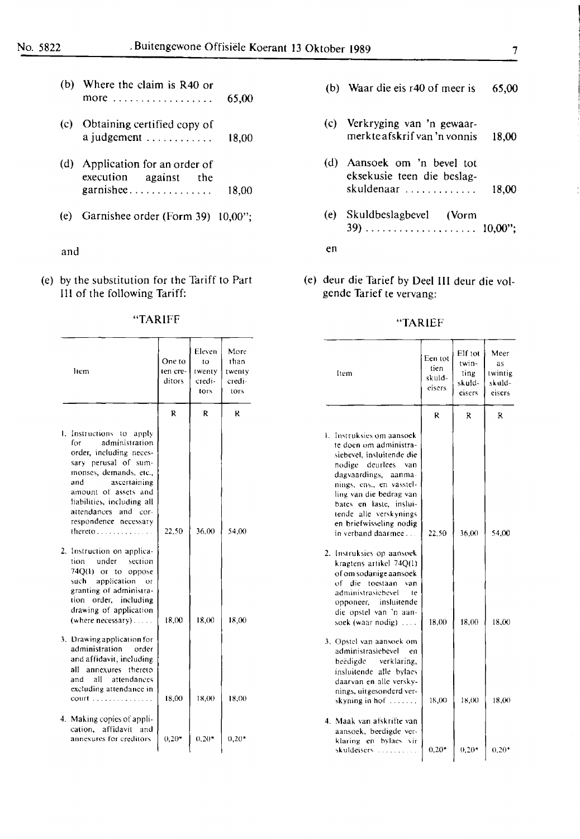- (b) Where the claim is R40 or  $\text{more}$   $\ldots$  65,00 more .................. **65,00**
- (c) Obtaining certified copy of (c) Verkryging van 'n gewaar-
- (d) Application for an order of (d) Aansoek om 'n bevel tot execution against the the execution of the execution of  $\alpha$  and  $\alpha$  and  $\alpha$  execution against the execution of  $\alpha$  execution  $\alpha$  execution of  $\alpha$  execution
- 

# and entitled the contract of the contract of the contract of the contract of the contract of the contract of the contract of the contract of the contract of the contract of the contract of the contract of the contract of t

(e) by the substitution for the Tariff to Part (e) deur die Tarief by Deel III deur die vol-<br>III of the following Tariff: gende Tarief te vervang: III of the following Tariff:

| "TARIFF | "TARIEF |
|---------|---------|
|         |         |

| ltem                                                                                                                                                                                                                                                                             | One to<br>ten cre-<br>ditors | Eleven<br>to<br>twenty<br>credi-<br>tors | More<br>than<br>twenty<br>credi-<br>tors | ltem                                                                                                                                                                                                                                                                                            |
|----------------------------------------------------------------------------------------------------------------------------------------------------------------------------------------------------------------------------------------------------------------------------------|------------------------------|------------------------------------------|------------------------------------------|-------------------------------------------------------------------------------------------------------------------------------------------------------------------------------------------------------------------------------------------------------------------------------------------------|
|                                                                                                                                                                                                                                                                                  | R                            | R                                        | R                                        |                                                                                                                                                                                                                                                                                                 |
| 1. Instructions to apply<br>administration<br>for<br>order, including neces-<br>sary perusal of sum-<br>monses, demands, etc.,<br>ascertaining<br>and<br>amount of assets and<br>liabilities, including all<br>attendances and cor-<br>respondence necessary<br>thereto $\ldots$ | 22,50                        | 36.00                                    | 54.00                                    | 1. Instruksies om aansoek<br>te doen om administra-<br>siebevel, insluitende die<br>nodige deurlees<br>van<br>dagvaardings, aanma-<br>nings, ens., en vasstel-<br>ling van die bedrag van<br>bates en laste, inslui-<br>tende alle verskynings<br>en briefwisseling nodig<br>in verband daarmee |
| 2. Instruction on applica-<br>under<br>section<br>tion<br>74Q(1) or to oppose<br>application<br>such<br>ОT<br>granting of administra-<br>tion order, including<br>drawing of application<br>(where necessary)                                                                    | 18,00                        | 18,00                                    | 18,00                                    | 2. Instruksies op aansoek<br>kragtens artikel 74Q(1)<br>of om sodanige aansoek<br>of die toestaan<br>van<br>administrasiebevel<br>te<br>opponeer, insluitende<br>die opstel van 'n aan-<br>soek (waar nodig) $\dots$ .                                                                          |
| 3. Drawing application for<br>administration<br>order<br>and affidavit, including<br>annexures thereto<br>all<br>all<br>attendances<br>and<br>excluding attendance in<br>$court$                                                                                                 | 18,00                        | 18,00                                    | 18.00                                    | 3. Opstel van aansoek om<br>administrasiebevel<br>en<br>beëdigde<br>verklaring,<br>insluitende alle bylaes<br>daarvan en alle versky-<br>nings, uitgesonderd ver-<br>skyning in hof $\ldots$ ,                                                                                                  |
| 4. Making copies of appli-<br>affidavit and<br>cation.<br>annexures for creditors                                                                                                                                                                                                | $0,20*$                      | $0,20*$                                  | $0,20*$                                  | 4. Maak van afskrifte van<br>aansoek, beedigde ver-<br>klaring en bylaes vir                                                                                                                                                                                                                    |

|  | (b) Waar die eis $r40$ of meer is |  |  |  |  |  |  | 65,00 |
|--|-----------------------------------|--|--|--|--|--|--|-------|
|--|-----------------------------------|--|--|--|--|--|--|-------|

- a judgement ............ **18,00** merkteafskrifvan 'n vonnis **18,00**
- execution against the eksekusie teen die beslag-<br>eksekusie teen die beslag-<br>skuldenaar garnishee ............... 18,00 skuldenaar ............. **18,00**
- (e) Garnishee order (Form 39) 10,00"; (e) Skuldbeslagbevel (Vorm 39) .................... **10,00";**

| ltem                                                                                                                                                                                                                                                                 | One to<br>ten cre-<br>ditors | Eleven<br>to<br>twenty<br>credi-<br>tors | More<br>than<br>twenty<br>credi-<br>tors | liem                                                                                                                                                                                                                                                                                         | Een tot<br>tien<br>skuld-<br>eisers | Elf tot<br>twin-<br>ting<br>skuld-<br>cisers | Meer<br>as<br>twintig<br>skuld-<br>eisers |
|----------------------------------------------------------------------------------------------------------------------------------------------------------------------------------------------------------------------------------------------------------------------|------------------------------|------------------------------------------|------------------------------------------|----------------------------------------------------------------------------------------------------------------------------------------------------------------------------------------------------------------------------------------------------------------------------------------------|-------------------------------------|----------------------------------------------|-------------------------------------------|
|                                                                                                                                                                                                                                                                      | $\mathbf{R}$                 | R                                        | ĸ                                        |                                                                                                                                                                                                                                                                                              | R                                   | R                                            | $\mathbb{R}$                              |
| Instructions to apply<br>administration<br>fоr<br>order, including neces-<br>sary perusal of sum-<br>monses, demands, etc.,<br>ascertaining<br>and<br>amount of assets and<br>liabilities, including all<br>attendances and cor-<br>respondence necessary<br>thereto | 22,50                        | 36,00                                    | 54,00                                    | 1. Instruksies om aansoek<br>te doen om administra-<br>siebevel, insluitende die<br>nodige deurlees van<br>dagvaardings, aanma-<br>nings, ens., en vasstel-<br>ling van die bedrag van<br>bates en laste, inslui-<br>tende alle verskynings<br>en briefwisseling nodig<br>in verband daarmee | 22,50                               | 36,00                                        | 54,00                                     |
| Instruction on applica-<br>under<br>section<br>tion<br>74Q(1) or to oppose<br>application or<br>such.<br>granting of administra-<br>tion order, including<br>drawing of application<br>(where necessary)                                                             | 18,00                        | 18,00                                    | 18,00                                    | 2. Instruksies op aansoek<br>kragtens artikel 74Q(1)<br>of om sodanige aansoek<br>of die toestaan van<br>administrasiebevel<br>te<br>opponeer, insluitende<br>die opstel van 'n aan-<br>soek (waar nodig) $\dots$                                                                            | 18.00                               | 18.00                                        | 18.00                                     |
| Drawing application for<br>administration<br>order<br>and affidavit, including<br>all annexures thereto<br>all<br>attendances<br>and<br>excluding attendance in<br>$\text{count}$                                                                                    | 18,00                        | 18,00                                    | 18.00                                    | 3. Opstel van aansoek om<br>administrasiebevel<br>en<br>beëdigde<br>verklaring,<br>insluitende alle bylaes<br>daarvan en alle versky-<br>nings, uitgesonderd ver-<br>skyning in hof $\ldots$                                                                                                 | 18,00                               | 18,00                                        | 18,00                                     |
| Making copies of appli-<br>cation, affidavit and<br>annexures for creditors                                                                                                                                                                                          | $0,20*$                      | $0,20*$                                  | $0,20*$                                  | 4. Maak van afskrifte van<br>aansoek, beedigde ver-<br>klaring en bylaes vir<br>skuldeisers                                                                                                                                                                                                  | $0,20*$                             | $0.20*$                                      | $0,20*$                                   |